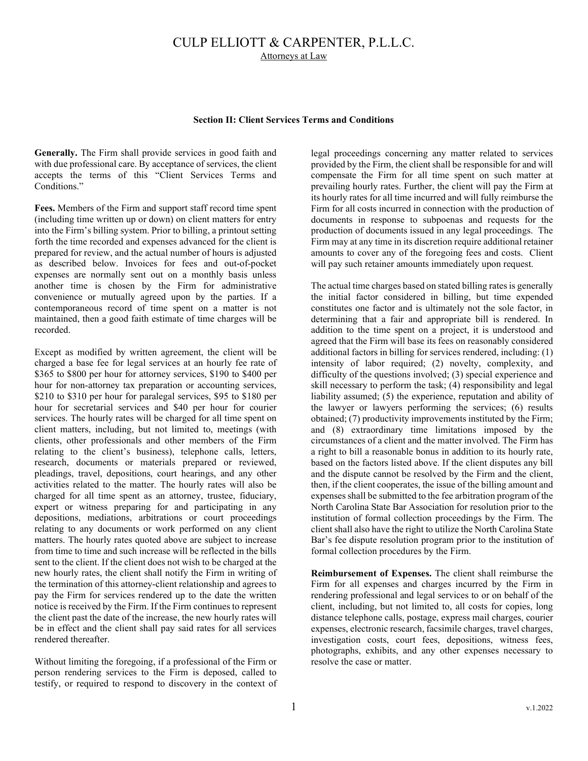## CULP ELLIOTT & CARPENTER, P.L.L.C. Attorneys at Law

## **Section II: Client Services Terms and Conditions**

**Generally.** The Firm shall provide services in good faith and with due professional care. By acceptance of services, the client accepts the terms of this "Client Services Terms and Conditions."

**Fees.** Members of the Firm and support staff record time spent (including time written up or down) on client matters for entry into the Firm's billing system. Prior to billing, a printout setting forth the time recorded and expenses advanced for the client is prepared for review, and the actual number of hours is adjusted as described below. Invoices for fees and out-of-pocket expenses are normally sent out on a monthly basis unless another time is chosen by the Firm for administrative convenience or mutually agreed upon by the parties. If a contemporaneous record of time spent on a matter is not maintained, then a good faith estimate of time charges will be recorded.

Except as modified by written agreement, the client will be charged a base fee for legal services at an hourly fee rate of \$365 to \$800 per hour for attorney services, \$190 to \$400 per hour for non-attorney tax preparation or accounting services, \$210 to \$310 per hour for paralegal services, \$95 to \$180 per hour for secretarial services and \$40 per hour for courier services. The hourly rates will be charged for all time spent on client matters, including, but not limited to, meetings (with clients, other professionals and other members of the Firm relating to the client's business), telephone calls, letters, research, documents or materials prepared or reviewed, pleadings, travel, depositions, court hearings, and any other activities related to the matter. The hourly rates will also be charged for all time spent as an attorney, trustee, fiduciary, expert or witness preparing for and participating in any depositions, mediations, arbitrations or court proceedings relating to any documents or work performed on any client matters. The hourly rates quoted above are subject to increase from time to time and such increase will be reflected in the bills sent to the client. If the client does not wish to be charged at the new hourly rates, the client shall notify the Firm in writing of the termination of this attorney-client relationship and agrees to pay the Firm for services rendered up to the date the written notice is received by the Firm. If the Firm continues to represent the client past the date of the increase, the new hourly rates will be in effect and the client shall pay said rates for all services rendered thereafter.

Without limiting the foregoing, if a professional of the Firm or person rendering services to the Firm is deposed, called to testify, or required to respond to discovery in the context of

legal proceedings concerning any matter related to services provided by the Firm, the client shall be responsible for and will compensate the Firm for all time spent on such matter at prevailing hourly rates. Further, the client will pay the Firm at its hourly rates for all time incurred and will fully reimburse the Firm for all costs incurred in connection with the production of documents in response to subpoenas and requests for the production of documents issued in any legal proceedings. The Firm may at any time in its discretion require additional retainer amounts to cover any of the foregoing fees and costs. Client will pay such retainer amounts immediately upon request.

The actual time charges based on stated billing rates is generally the initial factor considered in billing, but time expended constitutes one factor and is ultimately not the sole factor, in determining that a fair and appropriate bill is rendered. In addition to the time spent on a project, it is understood and agreed that the Firm will base its fees on reasonably considered additional factors in billing for services rendered, including: (1) intensity of labor required; (2) novelty, complexity, and difficulty of the questions involved; (3) special experience and skill necessary to perform the task; (4) responsibility and legal liability assumed; (5) the experience, reputation and ability of the lawyer or lawyers performing the services; (6) results obtained; (7) productivity improvements instituted by the Firm; and (8) extraordinary time limitations imposed by the circumstances of a client and the matter involved. The Firm has a right to bill a reasonable bonus in addition to its hourly rate, based on the factors listed above. If the client disputes any bill and the dispute cannot be resolved by the Firm and the client, then, if the client cooperates, the issue of the billing amount and expenses shall be submitted to the fee arbitration program of the North Carolina State Bar Association for resolution prior to the institution of formal collection proceedings by the Firm. The client shall also have the right to utilize the North Carolina State Bar's fee dispute resolution program prior to the institution of formal collection procedures by the Firm.

**Reimbursement of Expenses.** The client shall reimburse the Firm for all expenses and charges incurred by the Firm in rendering professional and legal services to or on behalf of the client, including, but not limited to, all costs for copies, long distance telephone calls, postage, express mail charges, courier expenses, electronic research, facsimile charges, travel charges, investigation costs, court fees, depositions, witness fees, photographs, exhibits, and any other expenses necessary to resolve the case or matter.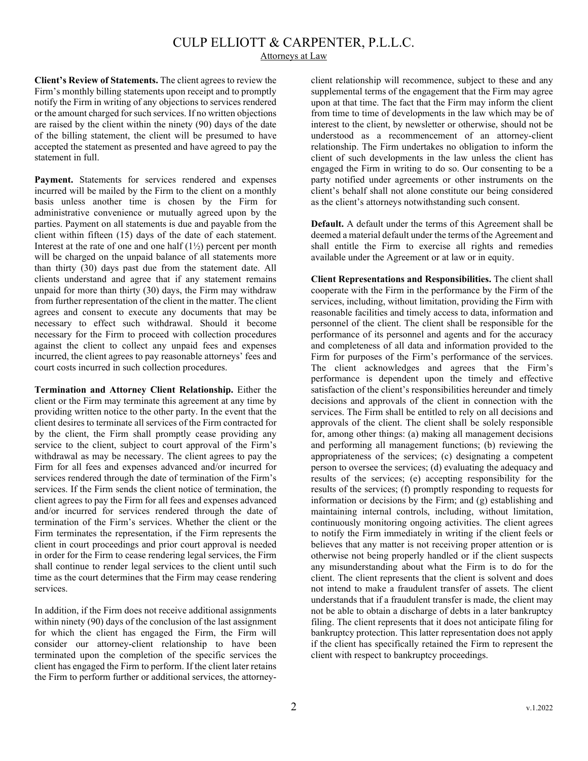## CULP ELLIOTT & CARPENTER, P.L.L.C.

Attorneys at Law

**Client's Review of Statements.** The client agrees to review the Firm's monthly billing statements upon receipt and to promptly notify the Firm in writing of any objections to services rendered or the amount charged for such services. If no written objections are raised by the client within the ninety (90) days of the date of the billing statement, the client will be presumed to have accepted the statement as presented and have agreed to pay the statement in full.

Payment. Statements for services rendered and expenses incurred will be mailed by the Firm to the client on a monthly basis unless another time is chosen by the Firm for administrative convenience or mutually agreed upon by the parties. Payment on all statements is due and payable from the client within fifteen (15) days of the date of each statement. Interest at the rate of one and one half  $(1\frac{1}{2})$  percent per month will be charged on the unpaid balance of all statements more than thirty (30) days past due from the statement date. All clients understand and agree that if any statement remains unpaid for more than thirty (30) days, the Firm may withdraw from further representation of the client in the matter. The client agrees and consent to execute any documents that may be necessary to effect such withdrawal. Should it become necessary for the Firm to proceed with collection procedures against the client to collect any unpaid fees and expenses incurred, the client agrees to pay reasonable attorneys' fees and court costs incurred in such collection procedures.

**Termination and Attorney Client Relationship.** Either the client or the Firm may terminate this agreement at any time by providing written notice to the other party. In the event that the client desires to terminate all services of the Firm contracted for by the client, the Firm shall promptly cease providing any service to the client, subject to court approval of the Firm's withdrawal as may be necessary. The client agrees to pay the Firm for all fees and expenses advanced and/or incurred for services rendered through the date of termination of the Firm's services. If the Firm sends the client notice of termination, the client agrees to pay the Firm for all fees and expenses advanced and/or incurred for services rendered through the date of termination of the Firm's services. Whether the client or the Firm terminates the representation, if the Firm represents the client in court proceedings and prior court approval is needed in order for the Firm to cease rendering legal services, the Firm shall continue to render legal services to the client until such time as the court determines that the Firm may cease rendering services.

In addition, if the Firm does not receive additional assignments within ninety (90) days of the conclusion of the last assignment for which the client has engaged the Firm, the Firm will consider our attorney-client relationship to have been terminated upon the completion of the specific services the client has engaged the Firm to perform. If the client later retains the Firm to perform further or additional services, the attorneyclient relationship will recommence, subject to these and any supplemental terms of the engagement that the Firm may agree upon at that time. The fact that the Firm may inform the client from time to time of developments in the law which may be of interest to the client, by newsletter or otherwise, should not be understood as a recommencement of an attorney-client relationship. The Firm undertakes no obligation to inform the client of such developments in the law unless the client has engaged the Firm in writing to do so. Our consenting to be a party notified under agreements or other instruments on the client's behalf shall not alone constitute our being considered as the client's attorneys notwithstanding such consent.

**Default.** A default under the terms of this Agreement shall be deemed a material default under the terms of the Agreement and shall entitle the Firm to exercise all rights and remedies available under the Agreement or at law or in equity.

**Client Representations and Responsibilities.** The client shall cooperate with the Firm in the performance by the Firm of the services, including, without limitation, providing the Firm with reasonable facilities and timely access to data, information and personnel of the client. The client shall be responsible for the performance of its personnel and agents and for the accuracy and completeness of all data and information provided to the Firm for purposes of the Firm's performance of the services. The client acknowledges and agrees that the Firm's performance is dependent upon the timely and effective satisfaction of the client's responsibilities hereunder and timely decisions and approvals of the client in connection with the services. The Firm shall be entitled to rely on all decisions and approvals of the client. The client shall be solely responsible for, among other things: (a) making all management decisions and performing all management functions; (b) reviewing the appropriateness of the services; (c) designating a competent person to oversee the services; (d) evaluating the adequacy and results of the services; (e) accepting responsibility for the results of the services; (f) promptly responding to requests for information or decisions by the Firm; and (g) establishing and maintaining internal controls, including, without limitation, continuously monitoring ongoing activities. The client agrees to notify the Firm immediately in writing if the client feels or believes that any matter is not receiving proper attention or is otherwise not being properly handled or if the client suspects any misunderstanding about what the Firm is to do for the client. The client represents that the client is solvent and does not intend to make a fraudulent transfer of assets. The client understands that if a fraudulent transfer is made, the client may not be able to obtain a discharge of debts in a later bankruptcy filing. The client represents that it does not anticipate filing for bankruptcy protection. This latter representation does not apply if the client has specifically retained the Firm to represent the client with respect to bankruptcy proceedings.